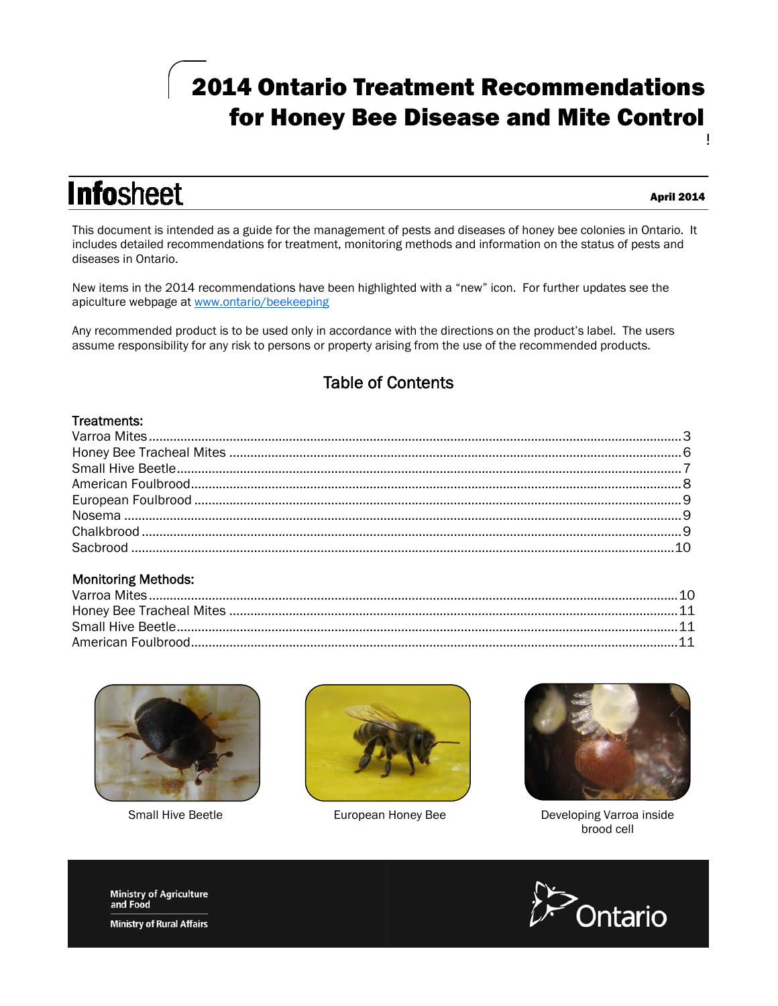# 2014 Ontario Treatment Recommendations for Honey Bee Disease and Mite Control ļ

**Infosheet** 

#### April 2014

This document is intended as a guide for the management of pests and diseases of honey bee colonies in Ontario. It includes detailed recommendations for treatment, monitoring methods and information on the status of pests and diseases in Ontario.

New items in the 2014 recommendations have been highlighted with a "new" icon. For further updates see the apiculture webpage at www.ontario/beekeeping

Any recommended product is to be used only in accordance with the directions on the product's label. The users assume responsibility for any risk to persons or property arising from the use of the recommended products.

# Table of Contents

# **Treatments:**<br>Treatments:

# Monitoring Methods:





European Honey Bee



Small Hive Beetle **European Honey Bee Developing Varroa inside** brood cell



**Ministry of Agriculture**<br>and Food

**Ministry of Rural Affairs**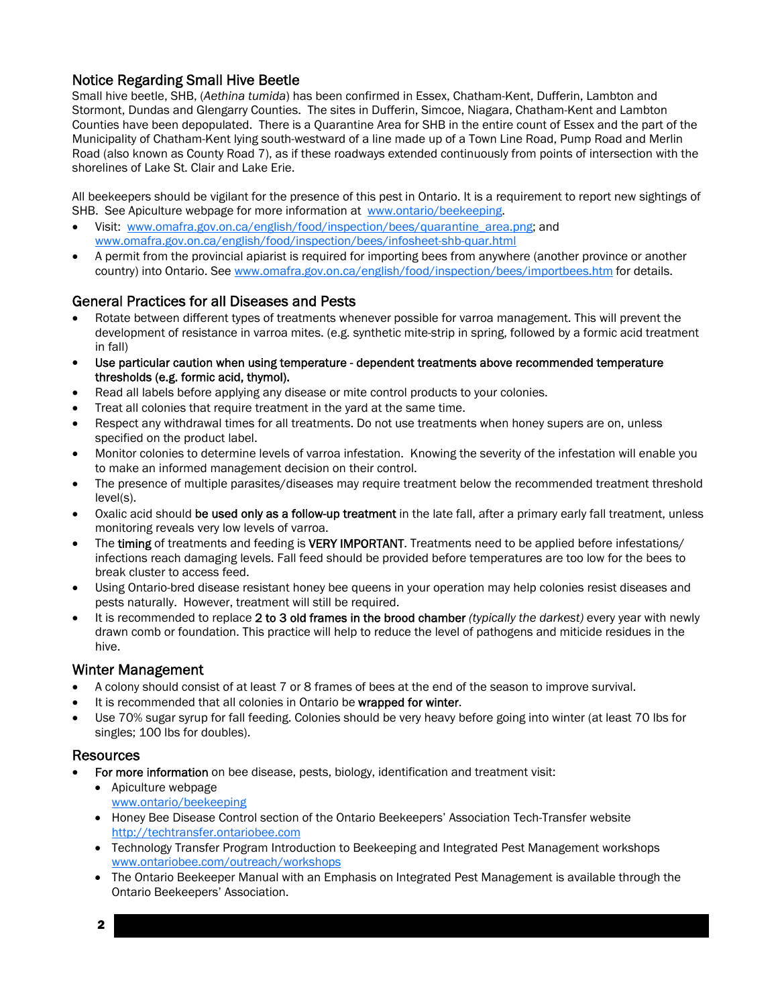# Notice Regarding Small Hive Beetle

Small hive beetle, SHB, (*Aethina tumida*) has been confirmed in Essex, Chatham-Kent, Dufferin, Lambton and Stormont, Dundas and Glengarry Counties. The sites in Dufferin, Simcoe, Niagara, Chatham-Kent and Lambton Counties have been depopulated. There is a Quarantine Area for SHB in the entire count of Essex and the part of the Municipality of Chatham-Kent lying south-westward of a line made up of a Town Line Road, Pump Road and Merlin Road (also known as County Road 7), as if these roadways extended continuously from points of intersection with the shorelines of Lake St. Clair and Lake Erie.

All beekeepers should be vigilant for the presence of this pest in Ontario. It is a requirement to report new sightings of SHB. See Apiculture webpage for more information at www.ontario/beekeeping.

- Visit: www.omafra.gov.on.ca/english/food/inspection/bees/quarantine\_area.png; and www.omafra.gov.on.ca/english/food/inspection/bees/infosheet-shb-quar.html
- A permit from the provincial apiarist is required for importing bees from anywhere (another province or another country) into Ontario. See www.omafra.gov.on.ca/english/food/inspection/bees/importbees.htm for details.

# General Practices for all Diseases and Pests

- Rotate between different types of treatments whenever possible for varroa management. This will prevent the development of resistance in varroa mites. (e.g. synthetic mite-strip in spring, followed by a formic acid treatment in fall)
- Use particular caution when using temperature dependent treatments above recommended temperature thresholds (e.g. formic acid, thymol).
- Read all labels before applying any disease or mite control products to your colonies.
- Treat all colonies that require treatment in the yard at the same time.
- Respect any withdrawal times for all treatments. Do not use treatments when honey supers are on, unless specified on the product label.
- Monitor colonies to determine levels of varroa infestation. Knowing the severity of the infestation will enable you to make an informed management decision on their control.
- The presence of multiple parasites/diseases may require treatment below the recommended treatment threshold level(s).
- Oxalic acid should be used only as a follow-up treatment in the late fall, after a primary early fall treatment, unless monitoring reveals very low levels of varroa.
- The timing of treatments and feeding is VERY IMPORTANT. Treatments need to be applied before infestations/ infections reach damaging levels. Fall feed should be provided before temperatures are too low for the bees to break cluster to access feed.
- Using Ontario-bred disease resistant honey bee queens in your operation may help colonies resist diseases and pests naturally. However, treatment will still be required.
- x It is recommended to replace 2 to 3old frames in the brood chamber *(typically the darkest)* every year with newly drawn comb or foundation. This practice will help to reduce the level of pathogens and miticide residues in the hive.

#### Winter Management

- x A colony should consist of at least 7 or 8 frames of bees at the end of the season to improve survival.
- It is recommended that all colonies in Ontario be wrapped for winter.
- Use 70% sugar syrup for fall feeding. Colonies should be very heavy before going into winter (at least 70 lbs for singles; 100 lbs for doubles).

#### **Resources**

- For more information on bee disease, pests, biology, identification and treatment visit:
	- $\bullet$  Apiculture webpage www.ontario/beekeeping
	- Honey Bee Disease Control section of the Ontario Beekeepers' Association Tech-Transfer website http://techtransfer.ontariobee.com
	- Technology Transfer Program Introduction to Beekeeping and Integrated Pest Management workshops www.ontariobee.com/outreach/workshops
	- The Ontario Beekeeper Manual with an Emphasis on Integrated Pest Management is available through the Ontario Beekeepers' Association.

2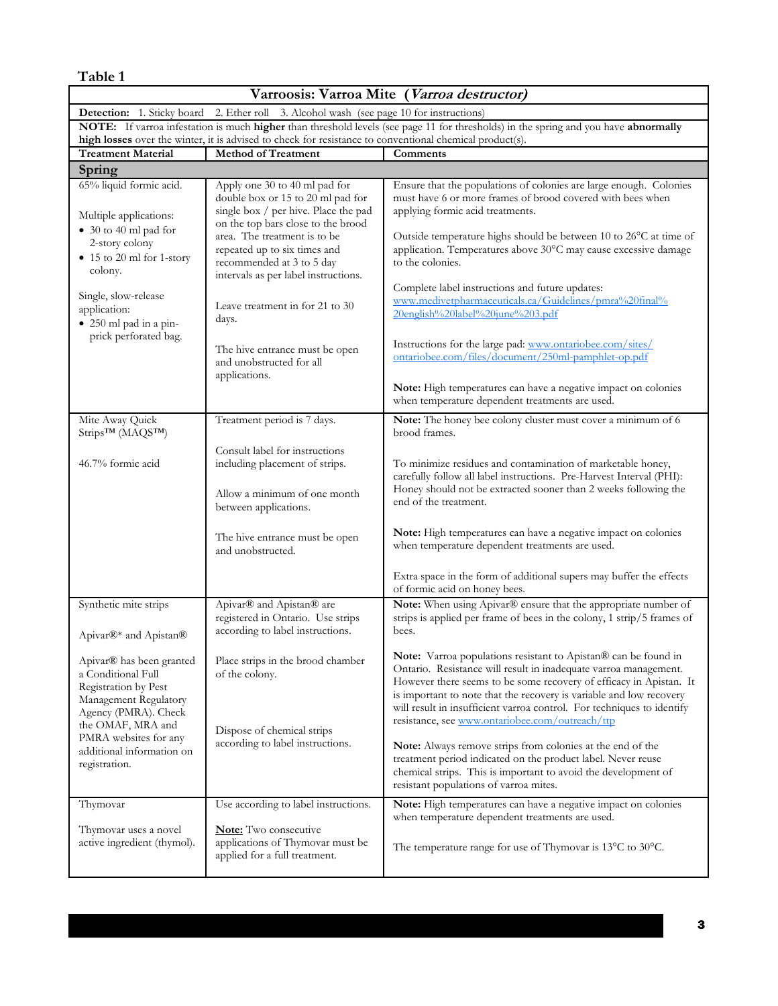| Varroosis: Varroa Mite (Varroa destructor)                                                                                                   |                                                                                                                                                                                                                  |                                                                                                                                                                                                                                                                                                                                                                                                              |
|----------------------------------------------------------------------------------------------------------------------------------------------|------------------------------------------------------------------------------------------------------------------------------------------------------------------------------------------------------------------|--------------------------------------------------------------------------------------------------------------------------------------------------------------------------------------------------------------------------------------------------------------------------------------------------------------------------------------------------------------------------------------------------------------|
| <b>Detection:</b> 1. Sticky board 2. Ether roll 3. Alcohol wash (see page 10 for instructions)                                               |                                                                                                                                                                                                                  |                                                                                                                                                                                                                                                                                                                                                                                                              |
| NOTE: If varroa infestation is much higher than threshold levels (see page 11 for thresholds) in the spring and you have abnormally          |                                                                                                                                                                                                                  |                                                                                                                                                                                                                                                                                                                                                                                                              |
| <b>Treatment Material</b>                                                                                                                    | high losses over the winter, it is advised to check for resistance to conventional chemical product(s).<br><b>Method of Treatment</b><br>Comments                                                                |                                                                                                                                                                                                                                                                                                                                                                                                              |
| Spring                                                                                                                                       |                                                                                                                                                                                                                  |                                                                                                                                                                                                                                                                                                                                                                                                              |
| 65% liquid formic acid.<br>Multiple applications:<br>• 30 to 40 ml pad for<br>2-story colony                                                 | Apply one 30 to 40 ml pad for<br>double box or 15 to 20 ml pad for<br>single box / per hive. Place the pad<br>on the top bars close to the brood<br>area. The treatment is to be<br>repeated up to six times and | Ensure that the populations of colonies are large enough. Colonies<br>must have 6 or more frames of brood covered with bees when<br>applying formic acid treatments.<br>Outside temperature highs should be between 10 to 26°C at time of<br>application. Temperatures above 30°C may cause excessive damage                                                                                                 |
| • 15 to 20 ml for 1-story<br>colony.<br>Single, slow-release<br>application:                                                                 | recommended at 3 to 5 day<br>intervals as per label instructions.<br>Leave treatment in for 21 to 30                                                                                                             | to the colonies.<br>Complete label instructions and future updates:<br>www.medivetpharmaceuticals.ca/Guidelines/pmra%20final%                                                                                                                                                                                                                                                                                |
| • 250 ml pad in a pin-<br>prick perforated bag.                                                                                              | days.<br>The hive entrance must be open<br>and unobstructed for all<br>applications.                                                                                                                             | 20english%20label%20june%203.pdf<br>Instructions for the large pad: www.ontariobee.com/sites/<br>ontariobee.com/files/document/250ml-pamphlet-op.pdf<br>Note: High temperatures can have a negative impact on colonies                                                                                                                                                                                       |
|                                                                                                                                              |                                                                                                                                                                                                                  | when temperature dependent treatments are used.                                                                                                                                                                                                                                                                                                                                                              |
| Mite Away Quick<br>Strips <sup>TM</sup> (MAQS <sup>TM</sup> )                                                                                | Treatment period is 7 days.                                                                                                                                                                                      | Note: The honey bee colony cluster must cover a minimum of 6<br>brood frames.                                                                                                                                                                                                                                                                                                                                |
| 46.7% formic acid                                                                                                                            | Consult label for instructions<br>including placement of strips.<br>Allow a minimum of one month                                                                                                                 | To minimize residues and contamination of marketable honey,<br>carefully follow all label instructions. Pre-Harvest Interval (PHI):<br>Honey should not be extracted sooner than 2 weeks following the<br>end of the treatment.                                                                                                                                                                              |
|                                                                                                                                              | between applications.<br>The hive entrance must be open<br>and unobstructed.                                                                                                                                     | Note: High temperatures can have a negative impact on colonies<br>when temperature dependent treatments are used.                                                                                                                                                                                                                                                                                            |
|                                                                                                                                              |                                                                                                                                                                                                                  | Extra space in the form of additional supers may buffer the effects<br>of formic acid on honey bees.                                                                                                                                                                                                                                                                                                         |
| Synthetic mite strips<br>Apivar®* and Apistan®                                                                                               | Apivar® and Apistan® are<br>registered in Ontario. Use strips<br>according to label instructions.                                                                                                                | Note: When using Apivar® ensure that the appropriate number of<br>strips is applied per frame of bees in the colony, 1 strip/5 frames of<br>bees.                                                                                                                                                                                                                                                            |
| Apivar® has been granted<br>a Conditional Full<br>Registration by Pest<br>Management Regulatory<br>Agency (PMRA). Check<br>the OMAF, MRA and | Place strips in the brood chamber<br>of the colony.                                                                                                                                                              | Note: Varroa populations resistant to Apistan® can be found in<br>Ontario. Resistance will result in inadequate varroa management.<br>However there seems to be some recovery of efficacy in Apistan. It<br>is important to note that the recovery is variable and low recovery<br>will result in insufficient varroa control. For techniques to identify<br>resistance, see www.ontariobee.com/outreach/ttp |
| PMRA websites for any<br>additional information on<br>registration.                                                                          | Dispose of chemical strips<br>according to label instructions.                                                                                                                                                   | Note: Always remove strips from colonies at the end of the<br>treatment period indicated on the product label. Never reuse<br>chemical strips. This is important to avoid the development of<br>resistant populations of varroa mites.                                                                                                                                                                       |
| Thymovar<br>Thymovar uses a novel                                                                                                            | Use according to label instructions.<br><b>Note:</b> Two consecutive                                                                                                                                             | Note: High temperatures can have a negative impact on colonies<br>when temperature dependent treatments are used.                                                                                                                                                                                                                                                                                            |
| active ingredient (thymol).                                                                                                                  | applications of Thymovar must be<br>applied for a full treatment.                                                                                                                                                | The temperature range for use of Thymovar is 13°C to 30°C.                                                                                                                                                                                                                                                                                                                                                   |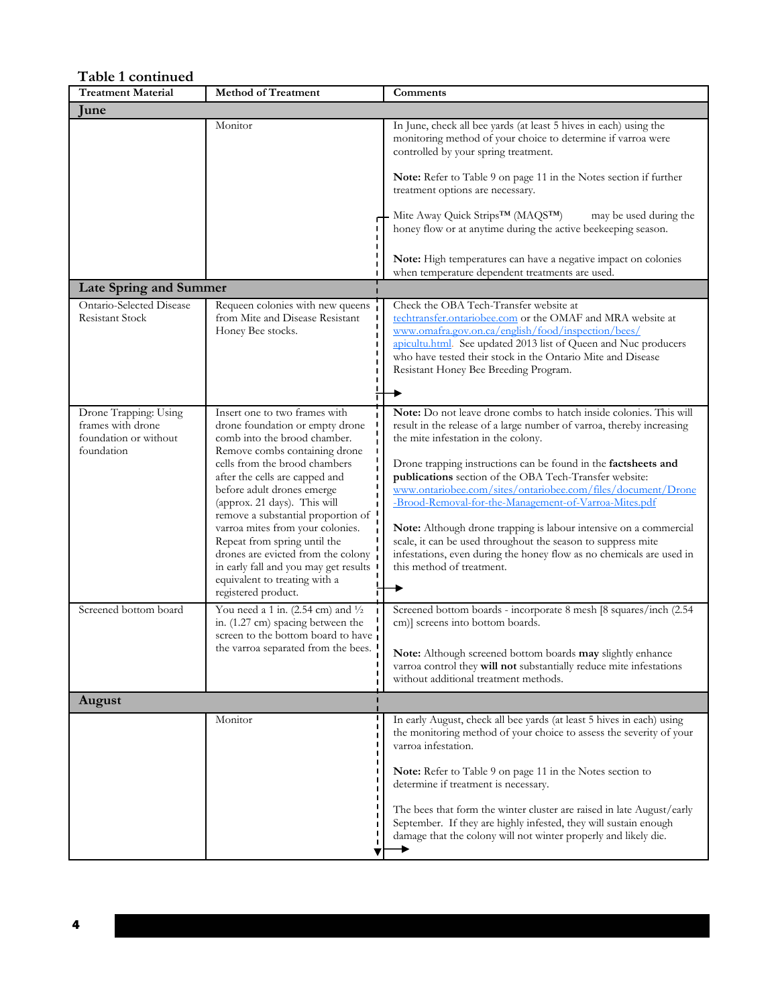| Table 1 continued                                                                                          |                                                                                                                                                                                                                                                                                                                                                                                                                                                                                                                                                                                                                                                                                       |                                                                                                                                                                                                                                                                                                                                                                                                                                                                                                                                                                                                                                                                                                                                                                                                                                                                                                                                 |
|------------------------------------------------------------------------------------------------------------|---------------------------------------------------------------------------------------------------------------------------------------------------------------------------------------------------------------------------------------------------------------------------------------------------------------------------------------------------------------------------------------------------------------------------------------------------------------------------------------------------------------------------------------------------------------------------------------------------------------------------------------------------------------------------------------|---------------------------------------------------------------------------------------------------------------------------------------------------------------------------------------------------------------------------------------------------------------------------------------------------------------------------------------------------------------------------------------------------------------------------------------------------------------------------------------------------------------------------------------------------------------------------------------------------------------------------------------------------------------------------------------------------------------------------------------------------------------------------------------------------------------------------------------------------------------------------------------------------------------------------------|
| <b>Treatment Material</b>                                                                                  | <b>Method of Treatment</b>                                                                                                                                                                                                                                                                                                                                                                                                                                                                                                                                                                                                                                                            | Comments                                                                                                                                                                                                                                                                                                                                                                                                                                                                                                                                                                                                                                                                                                                                                                                                                                                                                                                        |
| lune                                                                                                       |                                                                                                                                                                                                                                                                                                                                                                                                                                                                                                                                                                                                                                                                                       |                                                                                                                                                                                                                                                                                                                                                                                                                                                                                                                                                                                                                                                                                                                                                                                                                                                                                                                                 |
|                                                                                                            | Monitor                                                                                                                                                                                                                                                                                                                                                                                                                                                                                                                                                                                                                                                                               | In June, check all bee yards (at least 5 hives in each) using the<br>monitoring method of your choice to determine if varroa were<br>controlled by your spring treatment.                                                                                                                                                                                                                                                                                                                                                                                                                                                                                                                                                                                                                                                                                                                                                       |
|                                                                                                            |                                                                                                                                                                                                                                                                                                                                                                                                                                                                                                                                                                                                                                                                                       | <b>Note:</b> Refer to Table 9 on page 11 in the Notes section if further<br>treatment options are necessary.                                                                                                                                                                                                                                                                                                                                                                                                                                                                                                                                                                                                                                                                                                                                                                                                                    |
|                                                                                                            |                                                                                                                                                                                                                                                                                                                                                                                                                                                                                                                                                                                                                                                                                       | Mite Away Quick Strips <sup>TM</sup> (MAQS <sup>TM</sup> )<br>may be used during the<br>honey flow or at anytime during the active beekeeping season.                                                                                                                                                                                                                                                                                                                                                                                                                                                                                                                                                                                                                                                                                                                                                                           |
|                                                                                                            |                                                                                                                                                                                                                                                                                                                                                                                                                                                                                                                                                                                                                                                                                       | Note: High temperatures can have a negative impact on colonies<br>when temperature dependent treatments are used.                                                                                                                                                                                                                                                                                                                                                                                                                                                                                                                                                                                                                                                                                                                                                                                                               |
| <b>Late Spring and Summer</b>                                                                              |                                                                                                                                                                                                                                                                                                                                                                                                                                                                                                                                                                                                                                                                                       |                                                                                                                                                                                                                                                                                                                                                                                                                                                                                                                                                                                                                                                                                                                                                                                                                                                                                                                                 |
| Ontario-Selected Disease<br><b>Resistant Stock</b>                                                         | Requeen colonies with new queens<br>from Mite and Disease Resistant<br>Honey Bee stocks.                                                                                                                                                                                                                                                                                                                                                                                                                                                                                                                                                                                              | Check the OBA Tech-Transfer website at<br>techtransfer.ontariobee.com or the OMAF and MRA website at<br>www.omafra.gov.on.ca/english/food/inspection/bees/<br>apicultu.html. See updated 2013 list of Queen and Nuc producers<br>who have tested their stock in the Ontario Mite and Disease<br>Resistant Honey Bee Breeding Program.                                                                                                                                                                                                                                                                                                                                                                                                                                                                                                                                                                                           |
|                                                                                                            |                                                                                                                                                                                                                                                                                                                                                                                                                                                                                                                                                                                                                                                                                       |                                                                                                                                                                                                                                                                                                                                                                                                                                                                                                                                                                                                                                                                                                                                                                                                                                                                                                                                 |
| Drone Trapping: Using<br>frames with drone<br>foundation or without<br>foundation<br>Screened bottom board | Insert one to two frames with<br>drone foundation or empty drone<br>comb into the brood chamber.<br>Remove combs containing drone<br>cells from the brood chambers<br>after the cells are capped and<br>before adult drones emerge<br>(approx. 21 days). This will<br>remove a substantial proportion of<br>varroa mites from your colonies.<br>Repeat from spring until the<br>drones are evicted from the colony<br>in early fall and you may get results<br>equivalent to treating with a<br>registered product.<br>You need a 1 in. (2.54 cm) and $\frac{1}{2}$<br>in. (1.27 cm) spacing between the<br>screen to the bottom board to have<br>the varroa separated from the bees. | Note: Do not leave drone combs to hatch inside colonies. This will<br>result in the release of a large number of varroa, thereby increasing<br>the mite infestation in the colony.<br>Drone trapping instructions can be found in the factsheets and<br>publications section of the OBA Tech-Transfer website:<br>www.ontariobee.com/sites/ontariobee.com/files/document/Drone<br>-Brood-Removal-for-the-Management-of-Varroa-Mites.pdf<br>Note: Although drone trapping is labour intensive on a commercial<br>scale, it can be used throughout the season to suppress mite<br>infestations, even during the honey flow as no chemicals are used in<br>this method of treatment.<br>Screened bottom boards - incorporate 8 mesh [8 squares/inch (2.54<br>cm)] screens into bottom boards.<br>Note: Although screened bottom boards may slightly enhance<br>varroa control they will not substantially reduce mite infestations |
| August                                                                                                     |                                                                                                                                                                                                                                                                                                                                                                                                                                                                                                                                                                                                                                                                                       | without additional treatment methods.                                                                                                                                                                                                                                                                                                                                                                                                                                                                                                                                                                                                                                                                                                                                                                                                                                                                                           |
|                                                                                                            | Monitor                                                                                                                                                                                                                                                                                                                                                                                                                                                                                                                                                                                                                                                                               | In early August, check all bee yards (at least 5 hives in each) using                                                                                                                                                                                                                                                                                                                                                                                                                                                                                                                                                                                                                                                                                                                                                                                                                                                           |
|                                                                                                            |                                                                                                                                                                                                                                                                                                                                                                                                                                                                                                                                                                                                                                                                                       | the monitoring method of your choice to assess the severity of your<br>varroa infestation.<br>Note: Refer to Table 9 on page 11 in the Notes section to<br>determine if treatment is necessary.                                                                                                                                                                                                                                                                                                                                                                                                                                                                                                                                                                                                                                                                                                                                 |
|                                                                                                            |                                                                                                                                                                                                                                                                                                                                                                                                                                                                                                                                                                                                                                                                                       | The bees that form the winter cluster are raised in late August/early<br>September. If they are highly infested, they will sustain enough<br>damage that the colony will not winter properly and likely die.                                                                                                                                                                                                                                                                                                                                                                                                                                                                                                                                                                                                                                                                                                                    |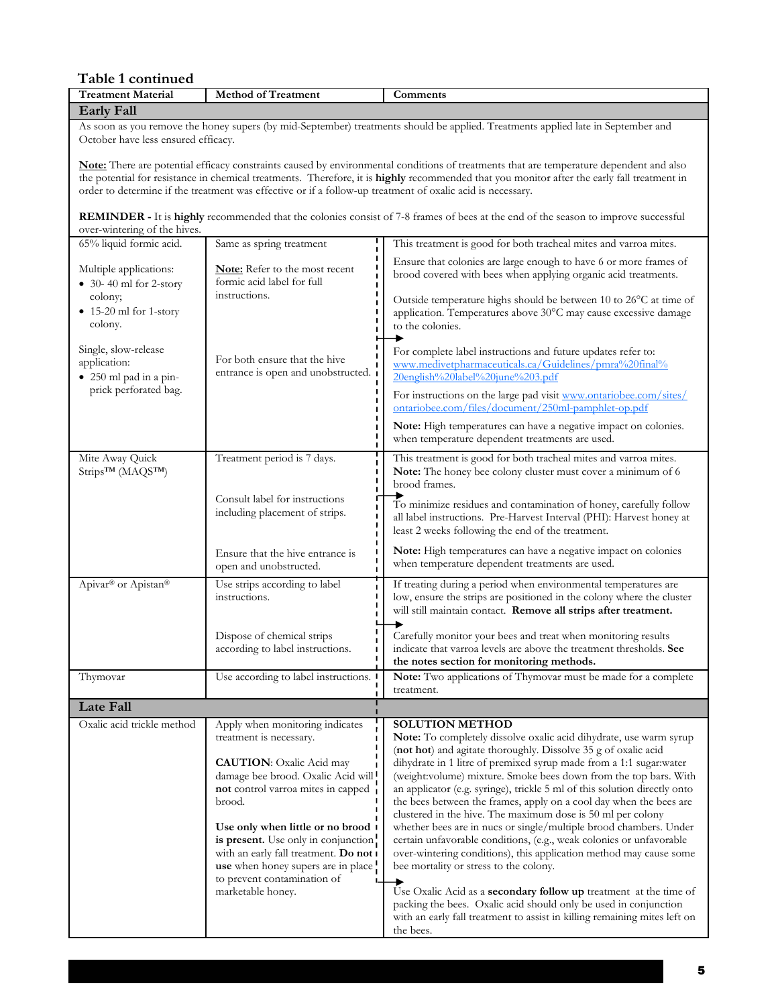| Table 1 continued                                              |                                                                                                                                                                                                                                                                                                                                                                                  |                                                                                                                                                                                                                                                                                                                                                                                                                                                                                                                                                                                                                                                                                                                                                                                        |  |
|----------------------------------------------------------------|----------------------------------------------------------------------------------------------------------------------------------------------------------------------------------------------------------------------------------------------------------------------------------------------------------------------------------------------------------------------------------|----------------------------------------------------------------------------------------------------------------------------------------------------------------------------------------------------------------------------------------------------------------------------------------------------------------------------------------------------------------------------------------------------------------------------------------------------------------------------------------------------------------------------------------------------------------------------------------------------------------------------------------------------------------------------------------------------------------------------------------------------------------------------------------|--|
| <b>Treatment Material</b>                                      | <b>Method of Treatment</b>                                                                                                                                                                                                                                                                                                                                                       | Comments                                                                                                                                                                                                                                                                                                                                                                                                                                                                                                                                                                                                                                                                                                                                                                               |  |
| <b>Early Fall</b>                                              |                                                                                                                                                                                                                                                                                                                                                                                  |                                                                                                                                                                                                                                                                                                                                                                                                                                                                                                                                                                                                                                                                                                                                                                                        |  |
|                                                                | As soon as you remove the honey supers (by mid-September) treatments should be applied. Treatments applied late in September and<br>October have less ensured efficacy.                                                                                                                                                                                                          |                                                                                                                                                                                                                                                                                                                                                                                                                                                                                                                                                                                                                                                                                                                                                                                        |  |
|                                                                | order to determine if the treatment was effective or if a follow-up treatment of oxalic acid is necessary.                                                                                                                                                                                                                                                                       | Note: There are potential efficacy constraints caused by environmental conditions of treatments that are temperature dependent and also<br>the potential for resistance in chemical treatments. Therefore, it is highly recommended that you monitor after the early fall treatment in                                                                                                                                                                                                                                                                                                                                                                                                                                                                                                 |  |
| over-wintering of the hives.                                   |                                                                                                                                                                                                                                                                                                                                                                                  | <b>REMINDER - It is highly recommended that the colonies consist of 7-8 frames of bees at the end of the season to improve successful</b>                                                                                                                                                                                                                                                                                                                                                                                                                                                                                                                                                                                                                                              |  |
| 65% liquid formic acid.                                        | Same as spring treatment                                                                                                                                                                                                                                                                                                                                                         | This treatment is good for both tracheal mites and varroa mites.                                                                                                                                                                                                                                                                                                                                                                                                                                                                                                                                                                                                                                                                                                                       |  |
| Multiple applications:<br>$\bullet$ 30-40 ml for 2-story       | Note: Refer to the most recent<br>formic acid label for full                                                                                                                                                                                                                                                                                                                     | Ensure that colonies are large enough to have 6 or more frames of<br>brood covered with bees when applying organic acid treatments.                                                                                                                                                                                                                                                                                                                                                                                                                                                                                                                                                                                                                                                    |  |
| colony;<br>$\bullet$ 15-20 ml for 1-story<br>colony.           | instructions.                                                                                                                                                                                                                                                                                                                                                                    | Outside temperature highs should be between 10 to 26°C at time of<br>application. Temperatures above 30°C may cause excessive damage<br>to the colonies.                                                                                                                                                                                                                                                                                                                                                                                                                                                                                                                                                                                                                               |  |
| Single, slow-release<br>application:<br>· 250 ml pad in a pin- | For both ensure that the hive<br>entrance is open and unobstructed.                                                                                                                                                                                                                                                                                                              | For complete label instructions and future updates refer to:<br>www.medivetpharmaceuticals.ca/Guidelines/pmra%20final%<br>20english%20label%20june%203.pdf                                                                                                                                                                                                                                                                                                                                                                                                                                                                                                                                                                                                                             |  |
| prick perforated bag.                                          |                                                                                                                                                                                                                                                                                                                                                                                  | For instructions on the large pad visit www.ontariobee.com/sites/<br>ontariobee.com/files/document/250ml-pamphlet-op.pdf                                                                                                                                                                                                                                                                                                                                                                                                                                                                                                                                                                                                                                                               |  |
|                                                                |                                                                                                                                                                                                                                                                                                                                                                                  | Note: High temperatures can have a negative impact on colonies.<br>when temperature dependent treatments are used.                                                                                                                                                                                                                                                                                                                                                                                                                                                                                                                                                                                                                                                                     |  |
| Mite Away Quick<br>Strips <sup>TM</sup> (MAQS <sup>TM</sup> )  | Treatment period is 7 days.                                                                                                                                                                                                                                                                                                                                                      | This treatment is good for both tracheal mites and varroa mites.<br>Note: The honey bee colony cluster must cover a minimum of 6<br>brood frames.                                                                                                                                                                                                                                                                                                                                                                                                                                                                                                                                                                                                                                      |  |
|                                                                | Consult label for instructions<br>including placement of strips.                                                                                                                                                                                                                                                                                                                 | To minimize residues and contamination of honey, carefully follow<br>all label instructions. Pre-Harvest Interval (PHI): Harvest honey at<br>least 2 weeks following the end of the treatment.                                                                                                                                                                                                                                                                                                                                                                                                                                                                                                                                                                                         |  |
|                                                                | Ensure that the hive entrance is<br>open and unobstructed.                                                                                                                                                                                                                                                                                                                       | Note: High temperatures can have a negative impact on colonies<br>when temperature dependent treatments are used.                                                                                                                                                                                                                                                                                                                                                                                                                                                                                                                                                                                                                                                                      |  |
| Apivar <sup>®</sup> or Apistan®                                | Use strips according to label<br>instructions.                                                                                                                                                                                                                                                                                                                                   | If treating during a period when environmental temperatures are<br>low, ensure the strips are positioned in the colony where the cluster<br>will still maintain contact. Remove all strips after treatment.                                                                                                                                                                                                                                                                                                                                                                                                                                                                                                                                                                            |  |
|                                                                | Dispose of chemical strips<br>according to label instructions.                                                                                                                                                                                                                                                                                                                   | Carefully monitor your bees and treat when monitoring results<br>indicate that varroa levels are above the treatment thresholds. See<br>the notes section for monitoring methods.                                                                                                                                                                                                                                                                                                                                                                                                                                                                                                                                                                                                      |  |
| Thymovar                                                       | Use according to label instructions.                                                                                                                                                                                                                                                                                                                                             | Note: Two applications of Thymovar must be made for a complete<br>treatment.                                                                                                                                                                                                                                                                                                                                                                                                                                                                                                                                                                                                                                                                                                           |  |
| <b>Late Fall</b>                                               |                                                                                                                                                                                                                                                                                                                                                                                  |                                                                                                                                                                                                                                                                                                                                                                                                                                                                                                                                                                                                                                                                                                                                                                                        |  |
| Oxalic acid trickle method                                     | Apply when monitoring indicates<br>treatment is necessary.<br><b>CAUTION:</b> Oxalic Acid may<br>damage bee brood. Oxalic Acid will<br>not control varroa mites in capped<br>brood.<br>Use only when little or no brood 1<br>is present. Use only in conjunction.<br>with an early fall treatment. Do not I<br>use when honey supers are in place<br>to prevent contamination of | <b>SOLUTION METHOD</b><br>Note: To completely dissolve oxalic acid dihydrate, use warm syrup<br>(not hot) and agitate thoroughly. Dissolve 35 g of oxalic acid<br>dihydrate in 1 litre of premixed syrup made from a 1:1 sugar:water<br>(weight:volume) mixture. Smoke bees down from the top bars. With<br>an applicator (e.g. syringe), trickle 5 ml of this solution directly onto<br>the bees between the frames, apply on a cool day when the bees are<br>clustered in the hive. The maximum dose is 50 ml per colony<br>whether bees are in nucs or single/multiple brood chambers. Under<br>certain unfavorable conditions, (e.g., weak colonies or unfavorable<br>over-wintering conditions), this application method may cause some<br>bee mortality or stress to the colony. |  |
|                                                                | marketable honey.                                                                                                                                                                                                                                                                                                                                                                | Use Oxalic Acid as a <b>secondary follow up</b> treatment at the time of<br>packing the bees. Oxalic acid should only be used in conjunction<br>with an early fall treatment to assist in killing remaining mites left on<br>the bees.                                                                                                                                                                                                                                                                                                                                                                                                                                                                                                                                                 |  |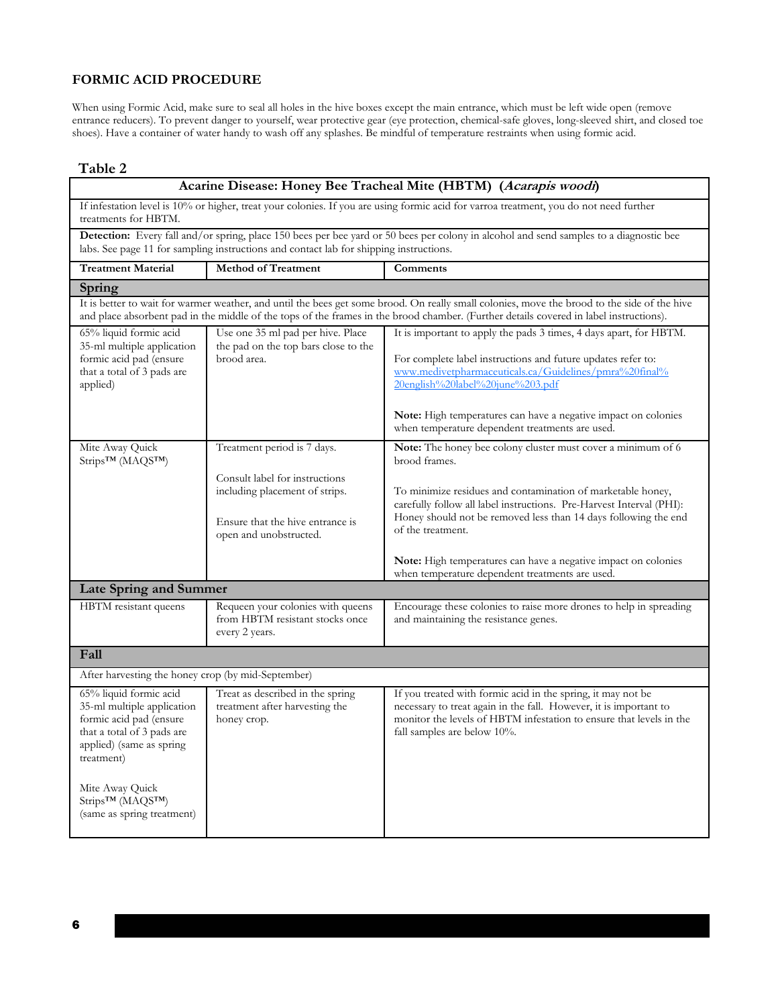# **FORMIC ACID PROCEDURE**

When using Formic Acid, make sure to seal all holes in the hive boxes except the main entrance, which must be left wide open (remove entrance reducers). To prevent danger to yourself, wear protective gear (eye protection, chemical-safe gloves, long-sleeved shirt, and closed toe shoes). Have a container of water handy to wash off any splashes. Be mindful of temperature restraints when using formic acid.

#### **Table 2**

| Acarine Disease: Honey Bee Tracheal Mite (HBTM) (Acarapis woodi)                                                                                                                                                                                       |                                                                                                                                                               |                                                                                                                                                                                                                                                                                                                                                                                                                                   |
|--------------------------------------------------------------------------------------------------------------------------------------------------------------------------------------------------------------------------------------------------------|---------------------------------------------------------------------------------------------------------------------------------------------------------------|-----------------------------------------------------------------------------------------------------------------------------------------------------------------------------------------------------------------------------------------------------------------------------------------------------------------------------------------------------------------------------------------------------------------------------------|
| If infestation level is 10% or higher, treat your colonies. If you are using formic acid for varroa treatment, you do not need further<br>treatments for HBTM.                                                                                         |                                                                                                                                                               |                                                                                                                                                                                                                                                                                                                                                                                                                                   |
|                                                                                                                                                                                                                                                        | labs. See page 11 for sampling instructions and contact lab for shipping instructions.                                                                        | Detection: Every fall and/or spring, place 150 bees per bee yard or 50 bees per colony in alcohol and send samples to a diagnostic bee                                                                                                                                                                                                                                                                                            |
| <b>Treatment Material</b>                                                                                                                                                                                                                              | <b>Method of Treatment</b>                                                                                                                                    | Comments                                                                                                                                                                                                                                                                                                                                                                                                                          |
| Spring                                                                                                                                                                                                                                                 |                                                                                                                                                               |                                                                                                                                                                                                                                                                                                                                                                                                                                   |
|                                                                                                                                                                                                                                                        |                                                                                                                                                               | It is better to wait for warmer weather, and until the bees get some brood. On really small colonies, move the brood to the side of the hive<br>and place absorbent pad in the middle of the tops of the frames in the brood chamber. (Further details covered in label instructions).                                                                                                                                            |
| 65% liquid formic acid<br>35-ml multiple application<br>formic acid pad (ensure<br>that a total of 3 pads are<br>applied)                                                                                                                              | Use one 35 ml pad per hive. Place<br>the pad on the top bars close to the<br>brood area.                                                                      | It is important to apply the pads 3 times, 4 days apart, for HBTM.<br>For complete label instructions and future updates refer to:<br>www.medivetpharmaceuticals.ca/Guidelines/pmra%20final%<br>20english%20label%20june%203.pdf<br><b>Note:</b> High temperatures can have a negative impact on colonies<br>when temperature dependent treatments are used.                                                                      |
| Mite Away Quick<br>Strips <sup>TM</sup> (MAQS <sup>TM</sup> )                                                                                                                                                                                          | Treatment period is 7 days.<br>Consult label for instructions<br>including placement of strips.<br>Ensure that the hive entrance is<br>open and unobstructed. | Note: The honey bee colony cluster must cover a minimum of 6<br>brood frames.<br>To minimize residues and contamination of marketable honey,<br>carefully follow all label instructions. Pre-Harvest Interval (PHI):<br>Honey should not be removed less than 14 days following the end<br>of the treatment.<br>Note: High temperatures can have a negative impact on colonies<br>when temperature dependent treatments are used. |
| Late Spring and Summer                                                                                                                                                                                                                                 |                                                                                                                                                               |                                                                                                                                                                                                                                                                                                                                                                                                                                   |
| HBTM resistant queens                                                                                                                                                                                                                                  | Requeen your colonies with queens<br>from HBTM resistant stocks once<br>every 2 years.                                                                        | Encourage these colonies to raise more drones to help in spreading<br>and maintaining the resistance genes.                                                                                                                                                                                                                                                                                                                       |
| Fall                                                                                                                                                                                                                                                   |                                                                                                                                                               |                                                                                                                                                                                                                                                                                                                                                                                                                                   |
| After harvesting the honey crop (by mid-September)                                                                                                                                                                                                     |                                                                                                                                                               |                                                                                                                                                                                                                                                                                                                                                                                                                                   |
| 65% liquid formic acid<br>35-ml multiple application<br>formic acid pad (ensure<br>that a total of 3 pads are<br>applied) (same as spring<br>treatment)<br>Mite Away Quick<br>Strips <sup>TM</sup> (MAQS <sup>TM</sup> )<br>(same as spring treatment) | Treat as described in the spring<br>treatment after harvesting the<br>honey crop.                                                                             | If you treated with formic acid in the spring, it may not be<br>necessary to treat again in the fall. However, it is important to<br>monitor the levels of HBTM infestation to ensure that levels in the<br>fall samples are below 10%.                                                                                                                                                                                           |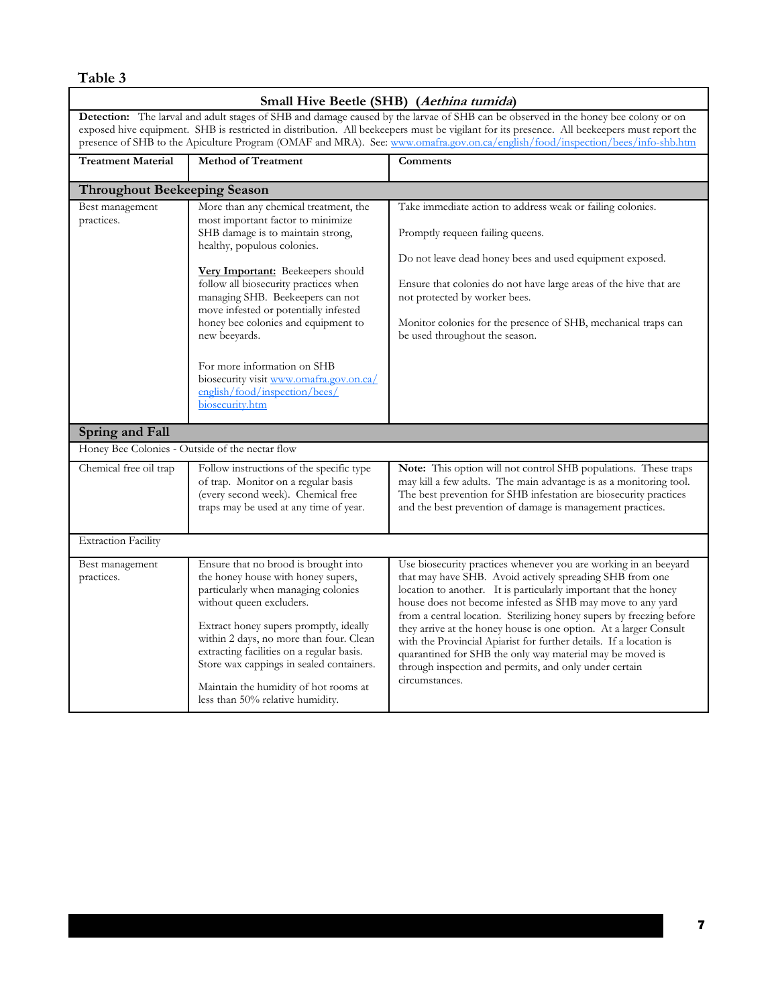# **Small Hive Beetle (SHB) (Aethina tumida)**

**Detection:** The larval and adult stages of SHB and damage caused by the larvae of SHB can be observed in the honey bee colony or on exposed hive equipment. SHB is restricted in distribution. All beekeepers must be vigilant for its presence. All beekeepers must report the presence of SHB to the Apiculture Program (OMAF and MRA). See: www.omafra.gov.on.ca/english/food/inspection/bees/info-shb.htm

| <b>Treatment Material</b>                       | <b>Method of Treatment</b>                                                                                                                                                                                                                                                                                                                                                                                                                                                                      | Comments                                                                                                                                                                                                                                                                                                                                                                                                                                                                                                                                                                                                                   |
|-------------------------------------------------|-------------------------------------------------------------------------------------------------------------------------------------------------------------------------------------------------------------------------------------------------------------------------------------------------------------------------------------------------------------------------------------------------------------------------------------------------------------------------------------------------|----------------------------------------------------------------------------------------------------------------------------------------------------------------------------------------------------------------------------------------------------------------------------------------------------------------------------------------------------------------------------------------------------------------------------------------------------------------------------------------------------------------------------------------------------------------------------------------------------------------------------|
| <b>Throughout Beekeeping Season</b>             |                                                                                                                                                                                                                                                                                                                                                                                                                                                                                                 |                                                                                                                                                                                                                                                                                                                                                                                                                                                                                                                                                                                                                            |
| Best management<br>practices.                   | More than any chemical treatment, the<br>most important factor to minimize<br>SHB damage is to maintain strong,<br>healthy, populous colonies.<br>Very Important: Beekeepers should<br>follow all biosecurity practices when<br>managing SHB. Beekeepers can not<br>move infested or potentially infested<br>honey bee colonies and equipment to<br>new beeyards.<br>For more information on SHB<br>biosecurity visit www.omafra.gov.on.ca/<br>english/food/inspection/bees/<br>biosecurity.htm | Take immediate action to address weak or failing colonies.<br>Promptly requeen failing queens.<br>Do not leave dead honey bees and used equipment exposed.<br>Ensure that colonies do not have large areas of the hive that are<br>not protected by worker bees.<br>Monitor colonies for the presence of SHB, mechanical traps can<br>be used throughout the season.                                                                                                                                                                                                                                                       |
| Spring and Fall                                 |                                                                                                                                                                                                                                                                                                                                                                                                                                                                                                 |                                                                                                                                                                                                                                                                                                                                                                                                                                                                                                                                                                                                                            |
| Honey Bee Colonies - Outside of the nectar flow |                                                                                                                                                                                                                                                                                                                                                                                                                                                                                                 |                                                                                                                                                                                                                                                                                                                                                                                                                                                                                                                                                                                                                            |
| Chemical free oil trap                          | Follow instructions of the specific type<br>of trap. Monitor on a regular basis<br>(every second week). Chemical free<br>traps may be used at any time of year.                                                                                                                                                                                                                                                                                                                                 | Note: This option will not control SHB populations. These traps<br>may kill a few adults. The main advantage is as a monitoring tool.<br>The best prevention for SHB infestation are biosecurity practices<br>and the best prevention of damage is management practices.                                                                                                                                                                                                                                                                                                                                                   |
| <b>Extraction Facility</b>                      |                                                                                                                                                                                                                                                                                                                                                                                                                                                                                                 |                                                                                                                                                                                                                                                                                                                                                                                                                                                                                                                                                                                                                            |
| Best management<br>practices.                   | Ensure that no brood is brought into<br>the honey house with honey supers,<br>particularly when managing colonies<br>without queen excluders.<br>Extract honey supers promptly, ideally<br>within 2 days, no more than four. Clean<br>extracting facilities on a regular basis.<br>Store wax cappings in sealed containers.<br>Maintain the humidity of hot rooms at<br>less than 50% relative humidity.                                                                                        | Use biosecurity practices whenever you are working in an beeyard<br>that may have SHB. Avoid actively spreading SHB from one<br>location to another. It is particularly important that the honey<br>house does not become infested as SHB may move to any yard<br>from a central location. Sterilizing honey supers by freezing before<br>they arrive at the honey house is one option. At a larger Consult<br>with the Provincial Apiarist for further details. If a location is<br>quarantined for SHB the only way material may be moved is<br>through inspection and permits, and only under certain<br>circumstances. |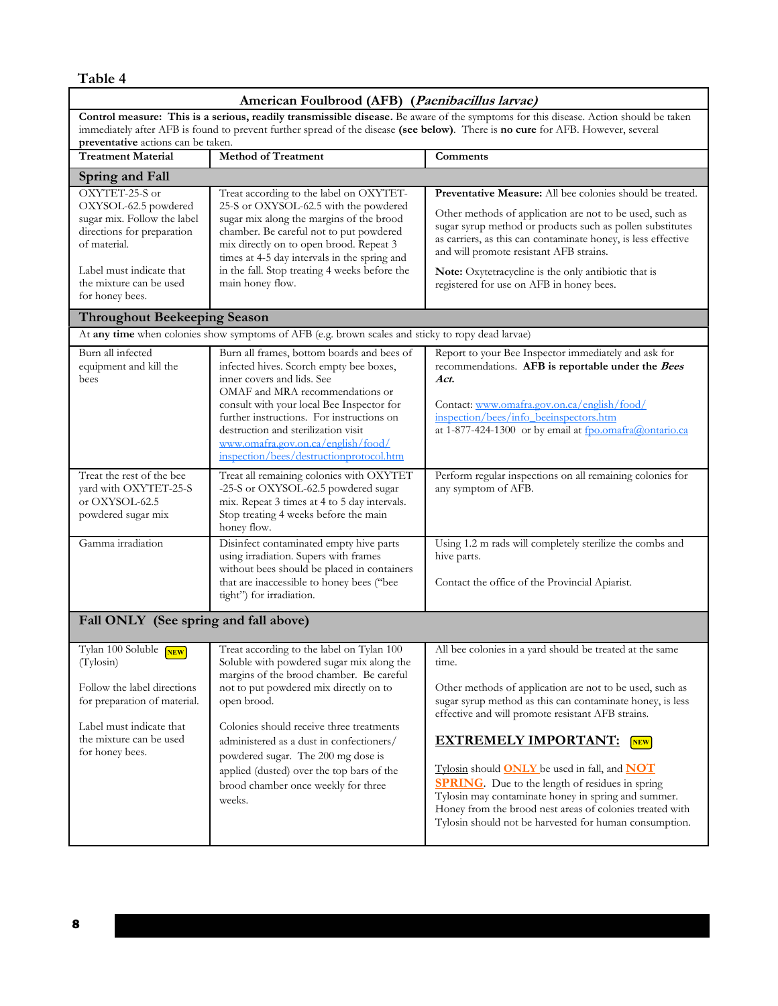**American Foulbrood (AFB) (Paenibacillus larvae) Control measure: This is a serious, readily transmissible disease.** Be aware of the symptoms for this disease. Action should be taken immediately after AFB is found to prevent further spread of the disease **(see below)**. There is **no cure** for AFB. However, several **preventative** actions can be taken. **Treatment Material Method of Treatment Comments Spring and Fall**  OXYTET-25-S or OXYSOL-62.5 powdered sugar mix. Follow the label directions for preparation of material. Label must indicate that the mixture can be used for honey bees. Treat according to the label on OXYTET-25-S or OXYSOL-62.5 with the powdered sugar mix along the margins of the brood chamber. Be careful not to put powdered mix directly on to open brood. Repeat 3 times at 4-5 day intervals in the spring and in the fall. Stop treating 4 weeks before the main honey flow. **Preventative Measure:** All bee colonies should be treated. Other methods of application are not to be used, such as sugar syrup method or products such as pollen substitutes as carriers, as this can contaminate honey, is less effective and will promote resistant AFB strains. **Note:** Oxytetracycline is the only antibiotic that is registered for use on AFB in honey bees. **Throughout Beekeeping Season**  At **any time** when colonies show symptoms of AFB (e.g. brown scales and sticky to ropy dead larvae) Burn all infected equipment and kill the bees Burn all frames, bottom boards and bees of infected hives. Scorch empty bee boxes, inner covers and lids. See OMAF and MRA recommendations or consult with your local Bee Inspector for further instructions. For instructions on destruction and sterilization visit www.omafra.gov.on.ca/english/food/ inspection/bees/destructionprotocol.htm Report to your Bee Inspector immediately and ask for recommendations. **AFB is reportable under the Bees Act.**  Contact: www.omafra.gov.on.ca/english/food/ inspection/bees/info\_beeinspectors.htm at 1-877-424-1300 or by email at fpo.omafra@ontario.ca Treat the rest of the bee yard with OXYTET-25-S or OXYSOL-62.5 powdered sugar mix Treat all remaining colonies with OXYTET -25-S or OXYSOL-62.5 powdered sugar mix. Repeat 3 times at 4 to 5 day intervals. Stop treating 4 weeks before the main honey flow. Perform regular inspections on all remaining colonies for any symptom of AFB. Gamma irradiation Disinfect contaminated empty hive parts using irradiation. Supers with frames without bees should be placed in containers that are inaccessible to honey bees ("bee tight") for irradiation. Using 1.2 m rads will completely sterilize the combs and hive parts. Contact the office of the Provincial Apiarist. Tylan 100 Soluble **NEW** (Tylosin) Follow the label directions for preparation of material. Label must indicate that the mixture can be used for honey bees. Treat according to the label on Tylan 100 Soluble with powdered sugar mix along the margins of the brood chamber. Be careful not to put powdered mix directly on to open brood. Colonies should receive three treatments administered as a dust in confectioners/ powdered sugar. The 200 mg dose is applied (dusted) over the top bars of the brood chamber once weekly for three weeks. All bee colonies in a yard should be treated at the same time. Other methods of application are not to be used, such as sugar syrup method as this can contaminate honey, is less effective and will promote resistant AFB strains. **EXTREMELY IMPORTANT:** [NEW] Tylosin should **ONLY** be used in fall, and **NOT SPRING**. Due to the length of residues in spring Tylosin may contaminate honey in spring and summer. Honey from the brood nest areas of colonies treated with Tylosin should not be harvested for human consumption. **Fall ONLY (See spring and fall above)**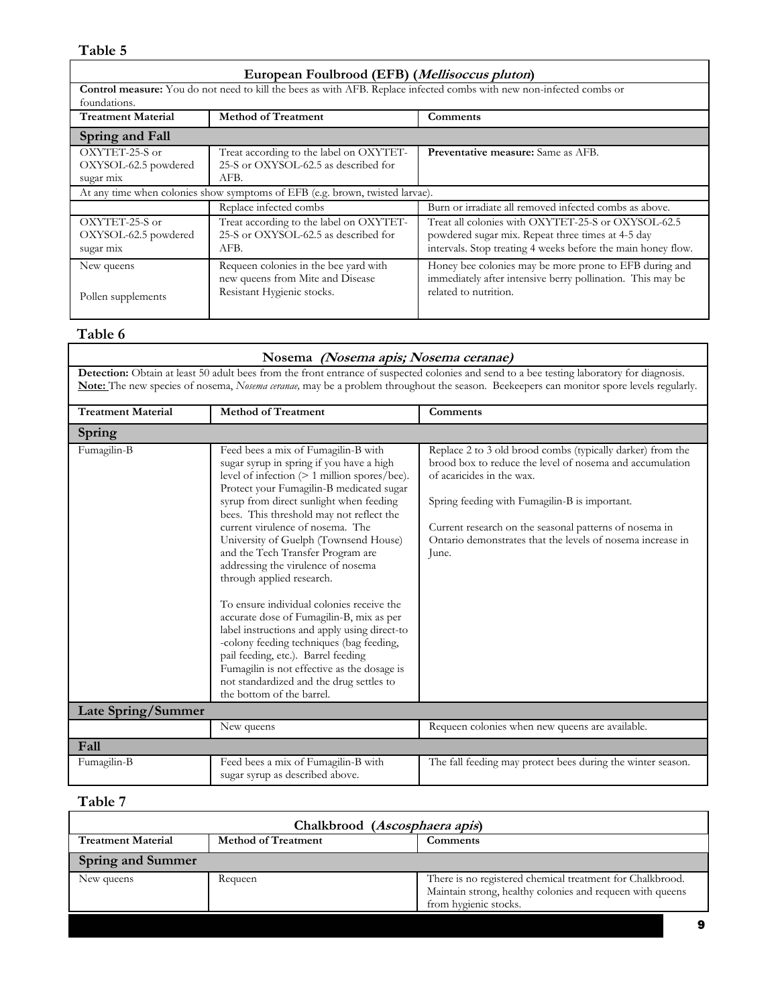| European Foulbrood (EFB) ( <i>Mellisoccus pluton</i> ) |                                                                              |                                                                                                                      |  |
|--------------------------------------------------------|------------------------------------------------------------------------------|----------------------------------------------------------------------------------------------------------------------|--|
|                                                        |                                                                              | Control measure: You do not need to kill the bees as with AFB. Replace infected combs with new non-infected combs or |  |
| foundations.                                           |                                                                              |                                                                                                                      |  |
| <b>Treatment Material</b>                              | <b>Method of Treatment</b>                                                   | Comments                                                                                                             |  |
| Spring and Fall                                        |                                                                              |                                                                                                                      |  |
| OXYTET-25-S or                                         | Treat according to the label on OXYTET-                                      | <b>Preventative measure:</b> Same as AFB.                                                                            |  |
| OXYSOL-62.5 powdered                                   | 25-S or OXYSOL-62.5 as described for                                         |                                                                                                                      |  |
| sugar mix                                              | AFB.                                                                         |                                                                                                                      |  |
|                                                        | At any time when colonies show symptoms of EFB (e.g. brown, twisted larvae). |                                                                                                                      |  |
|                                                        | Replace infected combs                                                       | Burn or irradiate all removed infected combs as above.                                                               |  |
| OXYTET-25-S or                                         | Treat according to the label on OXYTET-                                      | Treat all colonies with OXYTET-25-S or OXYSOL-62.5                                                                   |  |
| OXYSOL-62.5 powdered                                   | 25-S or OXYSOL-62.5 as described for                                         | powdered sugar mix. Repeat three times at 4-5 day                                                                    |  |
| sugar mix                                              | AFB.                                                                         | intervals. Stop treating 4 weeks before the main honey flow.                                                         |  |
| New queens                                             | Requeen colonies in the bee yard with                                        | Honey bee colonies may be more prone to EFB during and                                                               |  |
|                                                        | new queens from Mite and Disease                                             | immediately after intensive berry pollination. This may be                                                           |  |
|                                                        | Resistant Hygienic stocks.                                                   | related to nutrition.                                                                                                |  |
| Pollen supplements                                     |                                                                              |                                                                                                                      |  |

# **Table 6**

| Nosema (Nosema apis; Nosema ceranae)                                                                                                                                                                                                                                                  |                                                                                                                                                                                                                                                                                                                                                                                                                                                                                                                                                                                                                                                                                                                                                                                                             |                                                                                                                                                                                                                                                                                                                                       |  |
|---------------------------------------------------------------------------------------------------------------------------------------------------------------------------------------------------------------------------------------------------------------------------------------|-------------------------------------------------------------------------------------------------------------------------------------------------------------------------------------------------------------------------------------------------------------------------------------------------------------------------------------------------------------------------------------------------------------------------------------------------------------------------------------------------------------------------------------------------------------------------------------------------------------------------------------------------------------------------------------------------------------------------------------------------------------------------------------------------------------|---------------------------------------------------------------------------------------------------------------------------------------------------------------------------------------------------------------------------------------------------------------------------------------------------------------------------------------|--|
| Detection: Obtain at least 50 adult bees from the front entrance of suspected colonies and send to a bee testing laboratory for diagnosis.<br>Note: The new species of nosema, Nosema ceranae, may be a problem throughout the season. Beekeepers can monitor spore levels regularly. |                                                                                                                                                                                                                                                                                                                                                                                                                                                                                                                                                                                                                                                                                                                                                                                                             |                                                                                                                                                                                                                                                                                                                                       |  |
| <b>Treatment Material</b>                                                                                                                                                                                                                                                             | <b>Method of Treatment</b>                                                                                                                                                                                                                                                                                                                                                                                                                                                                                                                                                                                                                                                                                                                                                                                  | Comments                                                                                                                                                                                                                                                                                                                              |  |
| Spring                                                                                                                                                                                                                                                                                |                                                                                                                                                                                                                                                                                                                                                                                                                                                                                                                                                                                                                                                                                                                                                                                                             |                                                                                                                                                                                                                                                                                                                                       |  |
| Fumagilin-B                                                                                                                                                                                                                                                                           | Feed bees a mix of Fumagilin-B with<br>sugar syrup in spring if you have a high<br>level of infection (> 1 million spores/bee).<br>Protect your Fumagilin-B medicated sugar<br>syrup from direct sunlight when feeding<br>bees. This threshold may not reflect the<br>current virulence of nosema. The<br>University of Guelph (Townsend House)<br>and the Tech Transfer Program are<br>addressing the virulence of nosema<br>through applied research.<br>To ensure individual colonies receive the<br>accurate dose of Fumagilin-B, mix as per<br>label instructions and apply using direct-to<br>-colony feeding techniques (bag feeding,<br>pail feeding, etc.). Barrel feeding<br>Fumagilin is not effective as the dosage is<br>not standardized and the drug settles to<br>the bottom of the barrel. | Replace 2 to 3 old brood combs (typically darker) from the<br>brood box to reduce the level of nosema and accumulation<br>of acaricides in the wax.<br>Spring feeding with Fumagilin-B is important.<br>Current research on the seasonal patterns of nosema in<br>Ontario demonstrates that the levels of nosema increase in<br>June. |  |
| Late Spring/Summer                                                                                                                                                                                                                                                                    |                                                                                                                                                                                                                                                                                                                                                                                                                                                                                                                                                                                                                                                                                                                                                                                                             |                                                                                                                                                                                                                                                                                                                                       |  |
|                                                                                                                                                                                                                                                                                       | New queens                                                                                                                                                                                                                                                                                                                                                                                                                                                                                                                                                                                                                                                                                                                                                                                                  | Requeen colonies when new queens are available.                                                                                                                                                                                                                                                                                       |  |
| Fall                                                                                                                                                                                                                                                                                  |                                                                                                                                                                                                                                                                                                                                                                                                                                                                                                                                                                                                                                                                                                                                                                                                             |                                                                                                                                                                                                                                                                                                                                       |  |
| Fumagilin-B                                                                                                                                                                                                                                                                           | Feed bees a mix of Fumagilin-B with<br>sugar syrup as described above.                                                                                                                                                                                                                                                                                                                                                                                                                                                                                                                                                                                                                                                                                                                                      | The fall feeding may protect bees during the winter season.                                                                                                                                                                                                                                                                           |  |

# **Table 7**

| Chalkbrood (Ascosphaera apis) |                            |                                                                                                                                                 |
|-------------------------------|----------------------------|-------------------------------------------------------------------------------------------------------------------------------------------------|
| <b>Treatment Material</b>     | <b>Method of Treatment</b> | Comments                                                                                                                                        |
| <b>Spring and Summer</b>      |                            |                                                                                                                                                 |
| New queens                    | Requeen                    | There is no registered chemical treatment for Chalkbrood.<br>Maintain strong, healthy colonies and requeen with queens<br>from hygienic stocks. |
|                               |                            | 9                                                                                                                                               |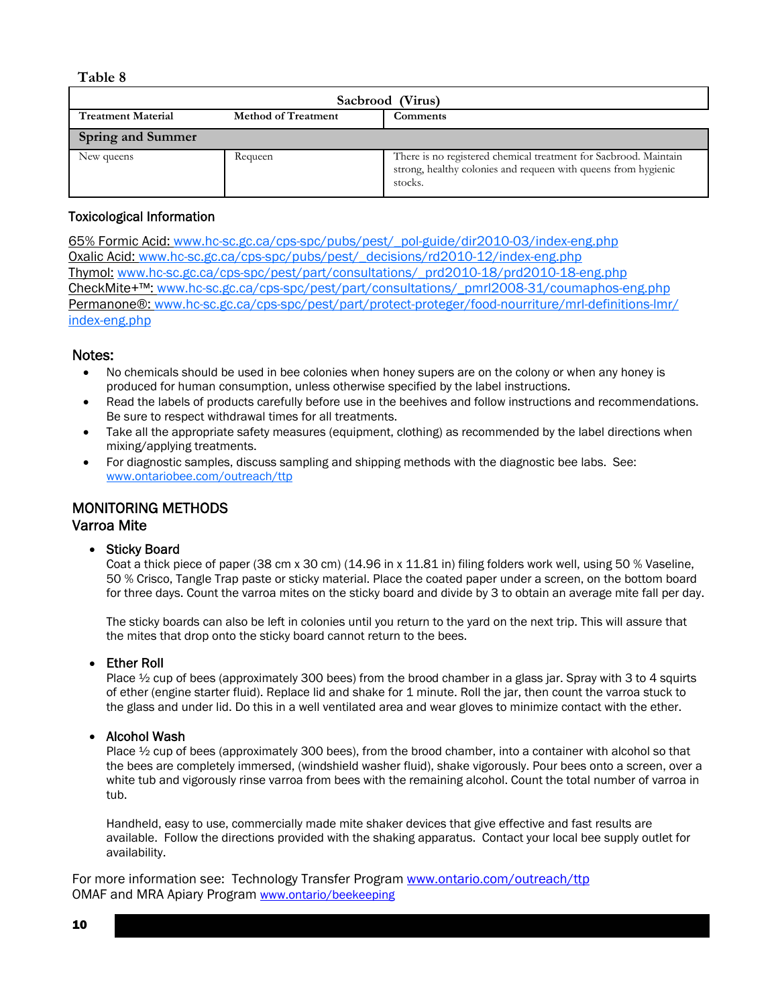| Sacbrood (Virus)          |                            |                                                                                                                                               |
|---------------------------|----------------------------|-----------------------------------------------------------------------------------------------------------------------------------------------|
| <b>Treatment Material</b> | <b>Method of Treatment</b> | Comments                                                                                                                                      |
| <b>Spring and Summer</b>  |                            |                                                                                                                                               |
| New queens                | Requeen                    | There is no registered chemical treatment for Sacbrood. Maintain<br>strong, healthy colonies and requeen with queens from hygienic<br>stocks. |

# Toxicological Information

65% Formic Acid: www.hc-sc.gc.ca/cps-spc/pubs/pest/\_pol-guide/dir2010-03/index-eng.php Oxalic Acid: www.hc-sc.gc.ca/cps-spc/pubs/pest/\_decisions/rd2010-12/index-eng.php Thymol: www.hc-sc.gc.ca/cps-spc/pest/part/consultations/\_prd2010-18/prd2010-18-eng.php CheckMite+™: www.hc-sc.gc.ca/cps-spc/pest/part/consultations/\_pmrl2008-31/coumaphos-eng.php Permanone®: www.hc-sc.gc.ca/cps-spc/pest/part/protect-proteger/food-nourriture/mrl-definitions-lmr/ index-eng.php

# Notes:

- No chemicals should be used in bee colonies when honey supers are on the colony or when any honey is produced for human consumption, unless otherwise specified by the label instructions.
- Read the labels of products carefully before use in the beehives and follow instructions and recommendations. Be sure to respect withdrawal times for all treatments.
- Take all the appropriate safety measures (equipment, clothing) as recommended by the label directions when mixing/applying treatments.
- For diagnostic samples, discuss sampling and shipping methods with the diagnostic bee labs. See: www.ontariobee.com/outreach/ttp

# MONITORING METHODS Varroa Mite

# • Sticky Board

Coat a thick piece of paper (38 cm x 30 cm) (14.96 in x 11.81 in) filing folders work well, using 50 % Vaseline, 50 % Crisco, Tangle Trap paste or sticky material. Place the coated paper under a screen, on the bottom board for three days. Count the varroa mites on the sticky board and divide by 3 to obtain an average mite fall per day.

The sticky boards can also be left in colonies until you return to the yard on the next trip. This will assure that the mites that drop onto the sticky board cannot return to the bees.

#### • Ether Roll

Place  $\frac{1}{2}$  cup of bees (approximately 300 bees) from the brood chamber in a glass jar. Spray with 3 to 4 squirts of ether (engine starter fluid). Replace lid and shake for 1 minute. Roll the jar, then count the varroa stuck to the glass and under lid. Do this in a well ventilated area and wear gloves to minimize contact with the ether.

# • Alcohol Wash

Place ½ cup of bees (approximately 300 bees), from the brood chamber, into a container with alcohol so that the bees are completely immersed, (windshield washer fluid), shake vigorously. Pour bees onto a screen, over a white tub and vigorously rinse varroa from bees with the remaining alcohol. Count the total number of varroa in tub.

Handheld, easy to use, commercially made mite shaker devices that give effective and fast results are available. Follow the directions provided with the shaking apparatus. Contact your local bee supply outlet for availability.

For more information see: Technology Transfer Program www.ontario.com/outreach/ttp OMAF and MRA Apiary Program www.ontario/beekeeping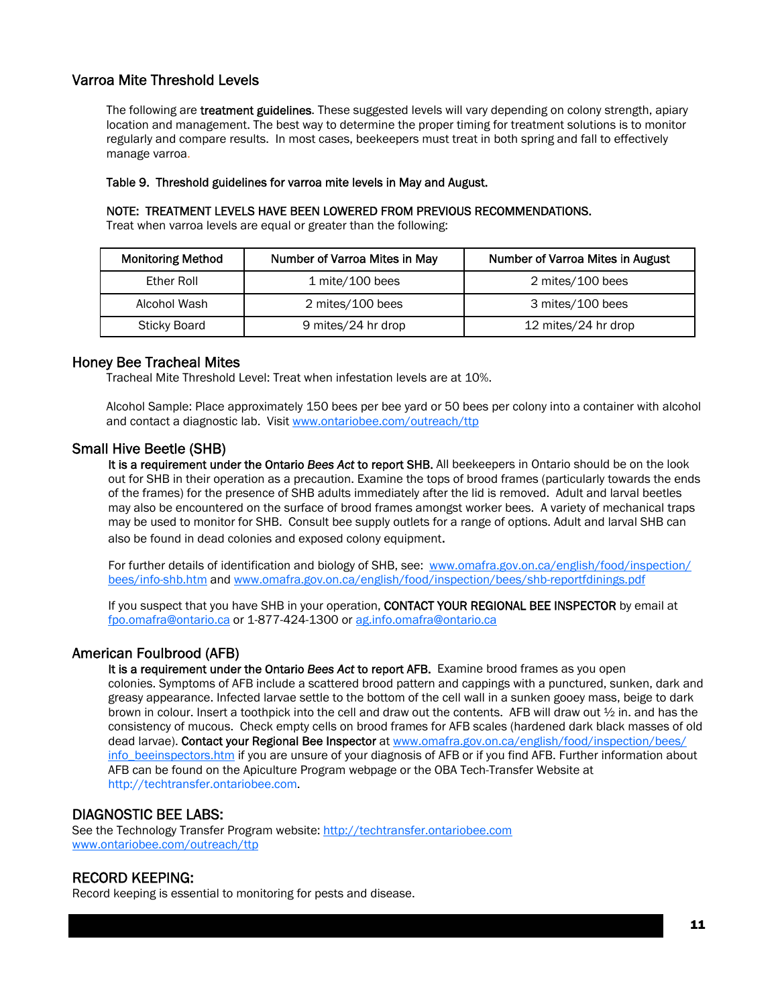# Varroa Mite Threshold Levels

The following are **treatment guidelines**. These suggested levels will vary depending on colony strength, apiary location and management. The best way to determine the proper timing for treatment solutions is to monitor regularly and compare results. In most cases, beekeepers must treat in both spring and fall to effectively manage varroa.

#### Table 9. Threshold guidelines for varroa mite levels in May and August.

#### NOTE: TREATMENT LEVELS HAVE BEEN LOWERED FROM PREVIOUS RECOMMENDATIONS.

Treat when varroa levels are equal or greater than the following:

| <b>Monitoring Method</b> | Number of Varroa Mites in May | <b>Number of Varroa Mites in August</b> |
|--------------------------|-------------------------------|-----------------------------------------|
| Ether Roll               | $1$ mite/100 bees             | 2 mites/100 bees                        |
| Alcohol Wash             | 2 mites/100 bees              | 3 mites/100 bees                        |
| Sticky Board             | 9 mites/24 hr drop            | 12 mites/24 hr drop                     |

# Honey Bee Tracheal Mites

Tracheal Mite Threshold Level: Treat when infestation levels are at 10%.

Alcohol Sample: Place approximately 150 bees per bee yard or 50 bees per colony into a container with alcohol and contact a diagnostic lab. Visit www.ontariobee.com/outreach/ttp

#### Small Hive Beetle (SHB)

It is a requirement under the Ontario *Bees Act* to report SHB. All beekeepers in Ontario should be on the look out for SHB in their operation as a precaution. Examine the tops of brood frames (particularly towards the ends of the frames) for the presence of SHB adults immediately after the lid is removed. Adult and larval beetles may also be encountered on the surface of brood frames amongst worker bees. A variety of mechanical traps may be used to monitor for SHB. Consult bee supply outlets for a range of options. Adult and larval SHB can also be found in dead colonies and exposed colony equipment.

For further details of identification and biology of SHB, see: www.omafra.gov.on.ca/english/food/inspection/ bees/info-shb.htm and www.omafra.gov.on.ca/english/food/inspection/bees/shb-reportfdinings.pdf

If you suspect that you have SHB in your operation, CONTACT YOUR REGIONAL BEE INSPECTOR by email at fpo.omafra@ontario.ca or 1-877-424-1300 or ag.info.omafra@ontario.ca

# American Foulbrood (AFB)

It is a requirement under the Ontario *Bees Act* to report AFB. Examine brood frames as you open colonies. Symptoms of AFB include a scattered brood pattern and cappings with a punctured, sunken, dark and greasy appearance. Infected larvae settle to the bottom of the cell wall in a sunken gooey mass, beige to dark brown in colour. Insert a toothpick into the cell and draw out the contents. AFB will draw out ½ in. and has the consistency of mucous. Check empty cells on brood frames for AFB scales (hardened dark black masses of old dead larvae). Contact your Regional Bee Inspector at www.omafra.gov.on.ca/english/food/inspection/bees/ info beeinspectors.htm if you are unsure of your diagnosis of AFB or if you find AFB. Further information about AFB can be found on the Apiculture Program webpage or the OBA Tech-Transfer Website at http://techtransfer.ontariobee.com.

# DIAGNOSTIC BEE LABS:

See the Technology Transfer Program website: http://techtransfer.ontariobee.com www.ontariobee.com/outreach/ttp

#### RECORD KEEPING:

Record keeping is essential to monitoring for pests and disease.